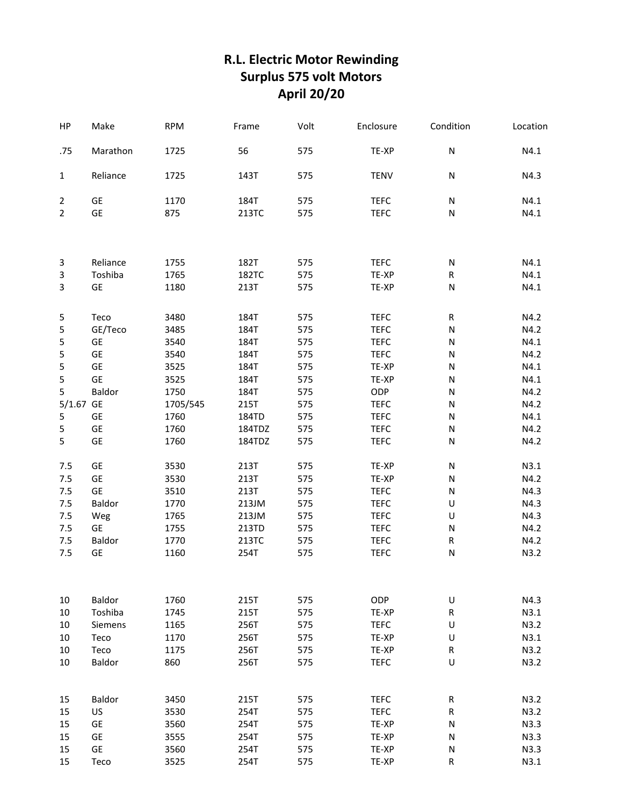## **R.L. Electric Motor Rewinding Surplus 575 volt Motors April 20/20**

| HP             | Make              | <b>RPM</b>   | Frame        | Volt       | Enclosure            | Condition            | Location     |
|----------------|-------------------|--------------|--------------|------------|----------------------|----------------------|--------------|
| .75            | Marathon          | 1725         | 56           | 575        | TE-XP                | N                    | N4.1         |
| $\mathbf{1}$   | Reliance          | 1725         | 143T         | 575        | <b>TENV</b>          | N                    | N4.3         |
| $\overline{2}$ | GE                | 1170         | 184T         | 575        | <b>TEFC</b>          | N                    | N4.1         |
| $\overline{2}$ | GE                | 875          | 213TC        | 575        | <b>TEFC</b>          | ${\sf N}$            | N4.1         |
|                |                   |              |              |            |                      |                      |              |
| 3              | Reliance          | 1755         | 182T         | 575        | <b>TEFC</b>          | N                    | N4.1         |
| 3              | Toshiba           | 1765         | 182TC        | 575        | TE-XP                | R                    | N4.1         |
| 3              | GE                | 1180         | 213T         | 575        | TE-XP                | N                    | N4.1         |
| 5              | Teco              | 3480         | 184T         | 575        | <b>TEFC</b>          | ${\sf R}$            | N4.2         |
| 5              | GE/Teco           | 3485         | 184T         | 575        | <b>TEFC</b>          | ${\sf N}$            | N4.2         |
| 5              | GE                | 3540         | 184T         | 575        | <b>TEFC</b>          | N                    | N4.1         |
| 5              | <b>GE</b>         | 3540         | 184T         | 575        | <b>TEFC</b>          | N                    | N4.2         |
| 5              | GE                | 3525         | 184T         | 575        | TE-XP                | N                    | N4.1         |
| 5              | <b>GE</b>         | 3525         | 184T         | 575        | TE-XP                | ${\sf N}$            | N4.1         |
| 5              | Baldor            | 1750         | 184T         | 575        | ODP                  | N                    | N4.2         |
| 5/1.67 GE      |                   | 1705/545     | 215T         | 575        | <b>TEFC</b>          | N                    | N4.2         |
| 5              | <b>GE</b>         | 1760         | 184TD        | 575        | <b>TEFC</b>          | N                    | N4.1         |
| 5              | GE                | 1760         | 184TDZ       | 575        | <b>TEFC</b>          | N                    | N4.2         |
| 5              | GE                | 1760         | 184TDZ       | 575        | <b>TEFC</b>          | N                    | N4.2         |
| 7.5            | GE                | 3530         | 213T         | 575        | TE-XP                | N                    | N3.1         |
| 7.5            | <b>GE</b>         | 3530         | 213T         | 575        | TE-XP                | N                    | N4.2         |
| 7.5            | <b>GE</b>         | 3510         | 213T         | 575        | <b>TEFC</b>          | N                    | N4.3         |
| 7.5            | Baldor            | 1770         | 213JM        | 575        | <b>TEFC</b>          | U                    | N4.3         |
| 7.5            | Weg               | 1765         | 213JM        | 575        | <b>TEFC</b>          | U                    | N4.3         |
| 7.5            | <b>GE</b>         | 1755         | 213TD        | 575        | <b>TEFC</b>          | ${\sf N}$            | N4.2         |
| $7.5$          | Baldor            | 1770         | 213TC        | 575        | <b>TEFC</b>          | R                    | N4.2         |
| 7.5            | GE                | 1160         | 254T         | 575        | <b>TEFC</b>          | N                    | N3.2         |
|                |                   |              |              |            |                      |                      |              |
| 10<br>10       | Baldor<br>Toshiba | 1760         | 215T         | 575<br>575 | ODP                  | $\sf U$<br>${\sf R}$ | N4.3<br>N3.1 |
|                | Siemens           | 1745<br>1165 | 215T<br>256T | 575        | TE-XP<br><b>TEFC</b> | $\sf U$              | N3.2         |
| 10<br>10       | Teco              | 1170         | 256T         | 575        | TE-XP                | $\sf U$              | N3.1         |
| 10             | Teco              | 1175         | 256T         | 575        | TE-XP                | ${\sf R}$            | N3.2         |
| 10             | Baldor            | 860          | 256T         | 575        | <b>TEFC</b>          | $\sf U$              | N3.2         |
|                |                   |              |              |            |                      |                      |              |
| 15             | Baldor            | 3450         | 215T         | 575        | <b>TEFC</b>          | R                    | N3.2         |
| 15             | US                | 3530         | 254T         | 575        | <b>TEFC</b>          | ${\sf R}$            | N3.2         |
| 15             | GE                | 3560         | 254T         | 575        | TE-XP                | ${\sf N}$            | N3.3         |
| 15             | GE                | 3555         | 254T         | 575        | TE-XP                | ${\sf N}$            | N3.3         |
| 15             | GE                | 3560         | 254T         | 575        | TE-XP                | N                    | N3.3         |
| 15             | Teco              | 3525         | 254T         | 575        | TE-XP                | R                    | N3.1         |